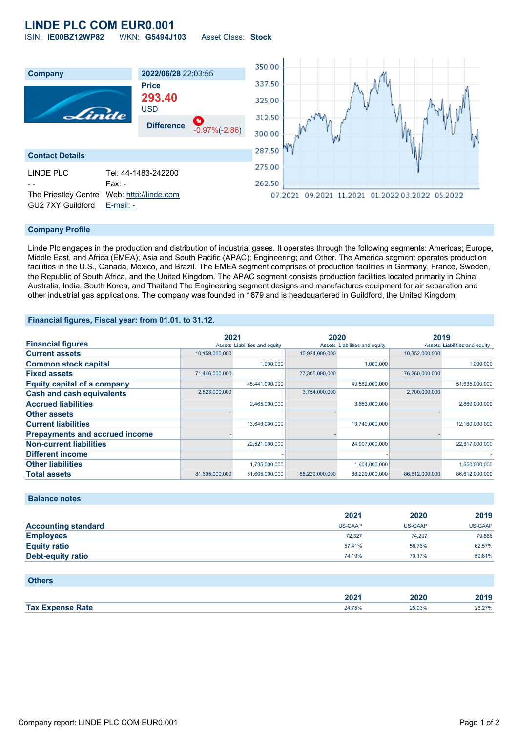## **LINDE PLC COM EUR0.001** ISIN: **IE00BZ12WP82** WKN: **G5494J103** Asset Class: **Stock**

350.00 **Company 2022/06/28** 22:03:55 337.50 **Price 293.40** 325.00 USD Linde 312.50 **Difference** -0.97%(-2.86) 300.00 287.50 **Contact Details** 275.00 LINDE PLC Tel: 44-1483-242200 Fax: -262.50 The Priestley Centre Web: [http://linde.com](http://linde.com/) 07.2021 09.2021 11.2021 01.2022 03.2022 05.2022 GU2 7XY Guildford [E-mail: -](mailto:-)

### **Company Profile**

Linde Plc engages in the production and distribution of industrial gases. It operates through the following segments: Americas; Europe, Middle East, and Africa (EMEA); Asia and South Pacific (APAC); Engineering; and Other. The America segment operates production facilities in the U.S., Canada, Mexico, and Brazil. The EMEA segment comprises of production facilities in Germany, France, Sweden, the Republic of South Africa, and the United Kingdom. The APAC segment consists production facilities located primarily in China, Australia, India, South Korea, and Thailand The Engineering segment designs and manufactures equipment for air separation and other industrial gas applications. The company was founded in 1879 and is headquartered in Guildford, the United Kingdom.

#### **Financial figures, Fiscal year: from 01.01. to 31.12.**

|                                       | 2021           |                               | 2020           |                               | 2019           |                               |
|---------------------------------------|----------------|-------------------------------|----------------|-------------------------------|----------------|-------------------------------|
| <b>Financial figures</b>              |                | Assets Liabilities and equity |                | Assets Liabilities and equity |                | Assets Liabilities and equity |
| <b>Current assets</b>                 | 10,159,000,000 |                               | 10,924,000,000 |                               | 10,352,000,000 |                               |
| <b>Common stock capital</b>           |                | 1,000,000                     |                | 1,000,000                     |                | 1,000,000                     |
| <b>Fixed assets</b>                   | 71,446,000,000 |                               | 77,305,000,000 |                               | 76,260,000,000 |                               |
| <b>Equity capital of a company</b>    |                | 45,441,000,000                |                | 49,582,000,000                |                | 51,635,000,000                |
| <b>Cash and cash equivalents</b>      | 2,823,000,000  |                               | 3,754,000,000  |                               | 2,700,000,000  |                               |
| <b>Accrued liabilities</b>            |                | 2,465,000,000                 |                | 3,653,000,000                 |                | 2,869,000,000                 |
| <b>Other assets</b>                   |                |                               |                |                               |                |                               |
| <b>Current liabilities</b>            |                | 13,643,000,000                |                | 13,740,000,000                |                | 12,160,000,000                |
| <b>Prepayments and accrued income</b> |                |                               |                |                               |                |                               |
| <b>Non-current liabilities</b>        |                | 22,521,000,000                |                | 24,907,000,000                |                | 22,817,000,000                |
| <b>Different income</b>               |                |                               |                |                               |                |                               |
| <b>Other liabilities</b>              |                | 1,735,000,000                 |                | 1,604,000,000                 |                | 1,650,000,000                 |
| <b>Total assets</b>                   | 81.605.000.000 | 81.605.000.000                | 88,229,000,000 | 88.229.000.000                | 86.612.000.000 | 86.612.000.000                |

#### **Balance notes**

|                            | 2021           | 2020    | 2019    |
|----------------------------|----------------|---------|---------|
| <b>Accounting standard</b> | <b>US-GAAP</b> | US-GAAP | US-GAAP |
| <b>Employees</b>           | 72.327         | 74.207  | 79.886  |
| <b>Equity ratio</b>        | 57.41%         | 58.76%  | 62.57%  |
| Debt-equity ratio          | 74.19%         | 70.17%  | 59.81%  |

#### **Others**

|                               | יממה<br>ZUZ I | onor<br><b>SUZU</b><br>____ | 2010<br>40 I J  |
|-------------------------------|---------------|-----------------------------|-----------------|
| <b>Sho Rafe</b><br><b>Tax</b> |               | 25.03%                      | 26 27%<br>20.61 |